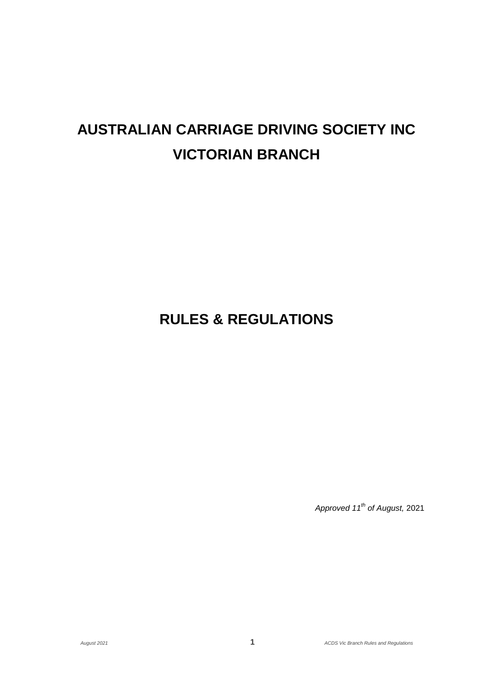# **AUSTRALIAN CARRIAGE DRIVING SOCIETY INC VICTORIAN BRANCH**

# **RULES & REGULATIONS**

*Approved 11th of August,* 2021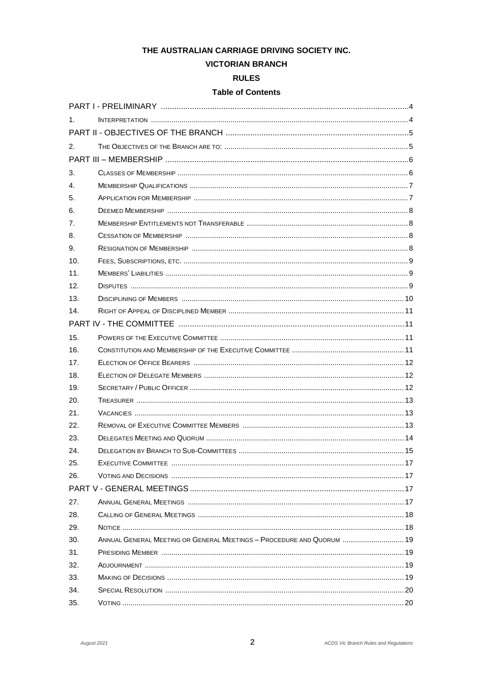# THE AUSTRALIAN CARRIAGE DRIVING SOCIETY INC.

# **VICTORIAN BRANCH**

# **RULES**

# **Table of Contents**

| $1_{-}$        |                                                                       |  |
|----------------|-----------------------------------------------------------------------|--|
|                |                                                                       |  |
| 2.             |                                                                       |  |
|                |                                                                       |  |
| 3.             |                                                                       |  |
| $\mathbf{4}$ . |                                                                       |  |
| 5.             |                                                                       |  |
| 6.             |                                                                       |  |
| 7.             |                                                                       |  |
| 8.             |                                                                       |  |
| 9.             |                                                                       |  |
| 10.            |                                                                       |  |
| 11.            |                                                                       |  |
| 12.            |                                                                       |  |
| 13.            |                                                                       |  |
| 14.            |                                                                       |  |
|                |                                                                       |  |
| 15.            |                                                                       |  |
| 16.            |                                                                       |  |
| 17.            |                                                                       |  |
| 18.            |                                                                       |  |
| 19.            |                                                                       |  |
| 20.            |                                                                       |  |
| 21.            |                                                                       |  |
| 22.            |                                                                       |  |
| 23.            |                                                                       |  |
| 24.            |                                                                       |  |
| 25.            | <b>EXECUTIVE COMMITTEE.</b>                                           |  |
| 26.            |                                                                       |  |
|                |                                                                       |  |
| 27.            |                                                                       |  |
| 28.            |                                                                       |  |
| 29.            |                                                                       |  |
| 30.            | ANNUAL GENERAL MEETING OR GENERAL MEETINGS - PROCEDURE AND QUORUM  19 |  |
| 31.            |                                                                       |  |
| 32.            |                                                                       |  |
| 33.            |                                                                       |  |
| 34.            |                                                                       |  |
| 35.            |                                                                       |  |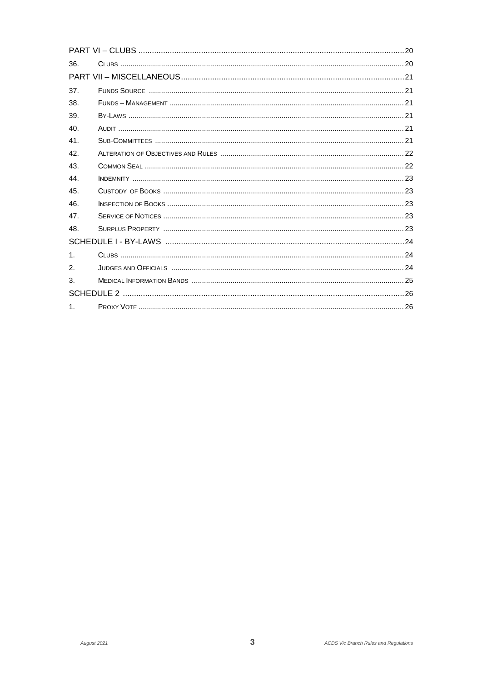| 36.          |  |  |  |  |
|--------------|--|--|--|--|
|              |  |  |  |  |
| 37.          |  |  |  |  |
| 38.          |  |  |  |  |
| 39.          |  |  |  |  |
| 40.          |  |  |  |  |
| 41.          |  |  |  |  |
| 42.          |  |  |  |  |
| 43.          |  |  |  |  |
| 44.          |  |  |  |  |
| 45.          |  |  |  |  |
| 46.          |  |  |  |  |
| 47.          |  |  |  |  |
| 48.          |  |  |  |  |
|              |  |  |  |  |
| $\mathbf{1}$ |  |  |  |  |
| 2.           |  |  |  |  |
| 3.           |  |  |  |  |
|              |  |  |  |  |
| $\mathbf{1}$ |  |  |  |  |
|              |  |  |  |  |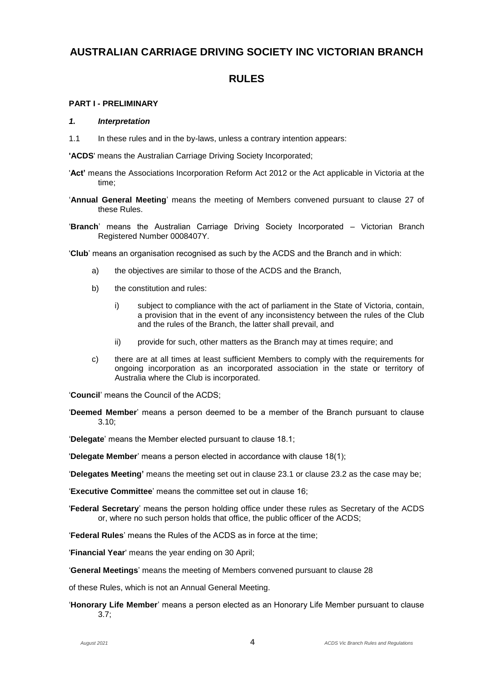# **AUSTRALIAN CARRIAGE DRIVING SOCIETY INC VICTORIAN BRANCH**

# **RULES**

# **PART I - PRELIMINARY**

#### *1. Interpretation*

1.1 In these rules and in the by-laws, unless a contrary intention appears:

**'ACDS**' means the Australian Carriage Driving Society Incorporated;

- '**Act'** means the Associations Incorporation Reform Act 2012 or the Act applicable in Victoria at the time;
- '**Annual General Meeting**' means the meeting of Members convened pursuant to clause 27 of these Rules.
- '**Branch**' means the Australian Carriage Driving Society Incorporated Victorian Branch Registered Number 0008407Y.

'**Club**' means an organisation recognised as such by the ACDS and the Branch and in which:

- a) the objectives are similar to those of the ACDS and the Branch,
- b) the constitution and rules:
	- i) subject to compliance with the act of parliament in the State of Victoria, contain, a provision that in the event of any inconsistency between the rules of the Club and the rules of the Branch, the latter shall prevail, and
	- ii) provide for such, other matters as the Branch may at times require; and
- c) there are at all times at least sufficient Members to comply with the requirements for ongoing incorporation as an incorporated association in the state or territory of Australia where the Club is incorporated.

'**Council**' means the Council of the ACDS;

'**Deemed Member**' means a person deemed to be a member of the Branch pursuant to clause 3.10;

'**Delegate**' means the Member elected pursuant to clause 18.1;

'**Delegate Member**' means a person elected in accordance with clause 18(1);

'**Delegates Meeting'** means the meeting set out in clause 23.1 or clause 23.2 as the case may be;

'**Executive Committee**' means the committee set out in clause 16;

'**Federal Secretary**' means the person holding office under these rules as Secretary of the ACDS or, where no such person holds that office, the public officer of the ACDS;

'**Federal Rules**' means the Rules of the ACDS as in force at the time;

'**Financial Year**' means the year ending on 30 April;

'**General Meetings**' means the meeting of Members convened pursuant to clause 28

of these Rules, which is not an Annual General Meeting.

'**Honorary Life Member**' means a person elected as an Honorary Life Member pursuant to clause 3.7;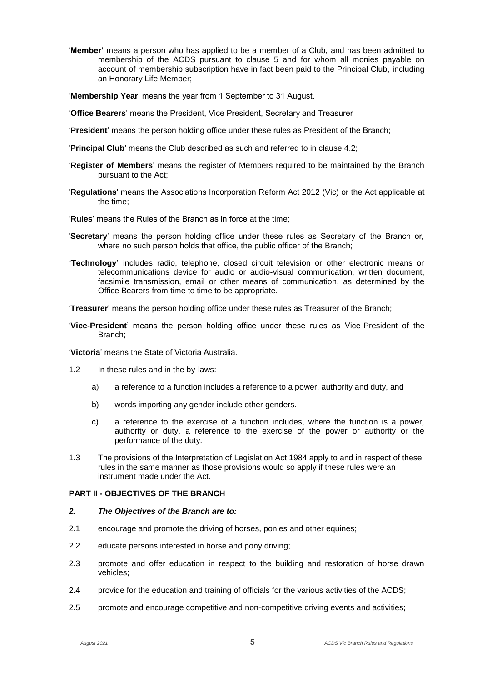'**Member'** means a person who has applied to be a member of a Club, and has been admitted to membership of the ACDS pursuant to clause 5 and for whom all monies payable on account of membership subscription have in fact been paid to the Principal Club, including an Honorary Life Member;

'**Membership Year**' means the year from 1 September to 31 August.

- '**Office Bearers**' means the President, Vice President, Secretary and Treasurer
- '**President**' means the person holding office under these rules as President of the Branch;
- '**Principal Club**' means the Club described as such and referred to in clause 4.2;
- '**Register of Members**' means the register of Members required to be maintained by the Branch pursuant to the Act;
- '**Regulations**' means the Associations Incorporation Reform Act 2012 (Vic) or the Act applicable at the time;
- '**Rules**' means the Rules of the Branch as in force at the time;
- '**Secretary**' means the person holding office under these rules as Secretary of the Branch or, where no such person holds that office, the public officer of the Branch;
- **'Technology'** includes radio, telephone, closed circuit television or other electronic means or telecommunications device for audio or audio-visual communication, written document, facsimile transmission, email or other means of communication, as determined by the Office Bearers from time to time to be appropriate.

'**Treasurer**' means the person holding office under these rules as Treasurer of the Branch;

'**Vice-President**' means the person holding office under these rules as Vice-President of the Branch;

'**Victoria**' means the State of Victoria Australia.

- 1.2 In these rules and in the by-laws:
	- a) a reference to a function includes a reference to a power, authority and duty, and
	- b) words importing any gender include other genders.
	- c) a reference to the exercise of a function includes, where the function is a power, authority or duty, a reference to the exercise of the power or authority or the performance of the duty.
- 1.3 The provisions of the Interpretation of Legislation Act 1984 apply to and in respect of these rules in the same manner as those provisions would so apply if these rules were an instrument made under the Act.

# **PART II - OBJECTIVES OF THE BRANCH**

#### *2. The Objectives of the Branch are to:*

- 2.1 encourage and promote the driving of horses, ponies and other equines;
- 2.2 educate persons interested in horse and pony driving;
- 2.3 promote and offer education in respect to the building and restoration of horse drawn vehicles;
- 2.4 provide for the education and training of officials for the various activities of the ACDS;
- 2.5 promote and encourage competitive and non-competitive driving events and activities;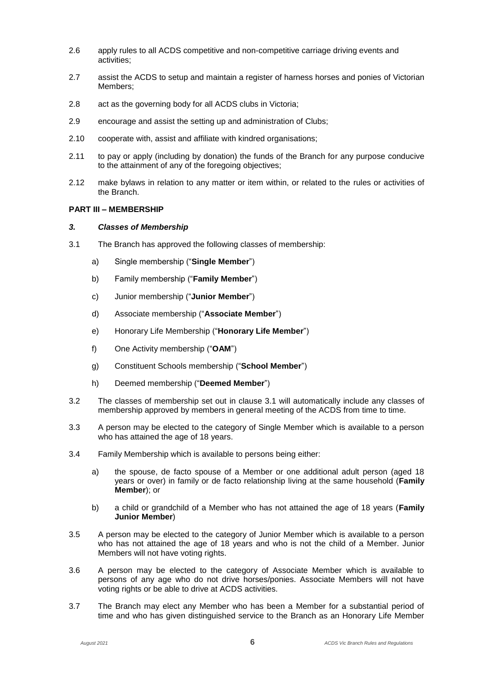- 2.6 apply rules to all ACDS competitive and non-competitive carriage driving events and activities;
- 2.7 assist the ACDS to setup and maintain a register of harness horses and ponies of Victorian Members:
- 2.8 act as the governing body for all ACDS clubs in Victoria;
- 2.9 encourage and assist the setting up and administration of Clubs;
- 2.10 cooperate with, assist and affiliate with kindred organisations;
- 2.11 to pay or apply (including by donation) the funds of the Branch for any purpose conducive to the attainment of any of the foregoing objectives;
- 2.12 make bylaws in relation to any matter or item within, or related to the rules or activities of the Branch.

# **PART III – MEMBERSHIP**

#### *3. Classes of Membership*

- 3.1 The Branch has approved the following classes of membership:
	- a) Single membership ("**Single Member**")
	- b) Family membership ("**Family Member**")
	- c) Junior membership ("**Junior Member**")
	- d) Associate membership ("**Associate Member**")
	- e) Honorary Life Membership ("**Honorary Life Member**")
	- f) One Activity membership ("**OAM**")
	- g) Constituent Schools membership ("**School Member**")
	- h) Deemed membership ("**Deemed Member**")
- 3.2 The classes of membership set out in clause 3.1 will automatically include any classes of membership approved by members in general meeting of the ACDS from time to time.
- 3.3 A person may be elected to the category of Single Member which is available to a person who has attained the age of 18 years.
- 3.4 Family Membership which is available to persons being either:
	- a) the spouse, de facto spouse of a Member or one additional adult person (aged 18 years or over) in family or de facto relationship living at the same household (**Family Member**); or
	- b) a child or grandchild of a Member who has not attained the age of 18 years (**Family Junior Member**)
- 3.5 A person may be elected to the category of Junior Member which is available to a person who has not attained the age of 18 years and who is not the child of a Member. Junior Members will not have voting rights.
- 3.6 A person may be elected to the category of Associate Member which is available to persons of any age who do not drive horses/ponies. Associate Members will not have voting rights or be able to drive at ACDS activities.
- 3.7 The Branch may elect any Member who has been a Member for a substantial period of time and who has given distinguished service to the Branch as an Honorary Life Member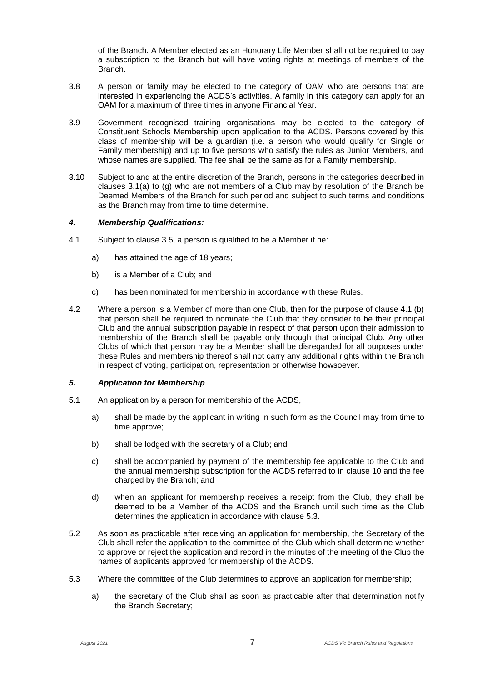of the Branch. A Member elected as an Honorary Life Member shall not be required to pay a subscription to the Branch but will have voting rights at meetings of members of the **Branch** 

- 3.8 A person or family may be elected to the category of OAM who are persons that are interested in experiencing the ACDS's activities. A family in this category can apply for an OAM for a maximum of three times in anyone Financial Year.
- 3.9 Government recognised training organisations may be elected to the category of Constituent Schools Membership upon application to the ACDS. Persons covered by this class of membership will be a guardian (i.e. a person who would qualify for Single or Family membership) and up to five persons who satisfy the rules as Junior Members, and whose names are supplied. The fee shall be the same as for a Family membership.
- 3.10 Subject to and at the entire discretion of the Branch, persons in the categories described in clauses  $3.1(a)$  to  $(q)$  who are not members of a Club may by resolution of the Branch be Deemed Members of the Branch for such period and subject to such terms and conditions as the Branch may from time to time determine.

# *4. Membership Qualifications:*

- 4.1 Subject to clause 3.5, a person is qualified to be a Member if he:
	- a) has attained the age of 18 years;
	- b) is a Member of a Club; and
	- c) has been nominated for membership in accordance with these Rules.
- 4.2 Where a person is a Member of more than one Club, then for the purpose of clause 4.1 (b) that person shall be required to nominate the Club that they consider to be their principal Club and the annual subscription payable in respect of that person upon their admission to membership of the Branch shall be payable only through that principal Club. Any other Clubs of which that person may be a Member shall be disregarded for all purposes under these Rules and membership thereof shall not carry any additional rights within the Branch in respect of voting, participation, representation or otherwise howsoever.

# *5. Application for Membership*

- 5.1 An application by a person for membership of the ACDS,
	- a) shall be made by the applicant in writing in such form as the Council may from time to time approve;
	- b) shall be lodged with the secretary of a Club; and
	- c) shall be accompanied by payment of the membership fee applicable to the Club and the annual membership subscription for the ACDS referred to in clause 10 and the fee charged by the Branch; and
	- d) when an applicant for membership receives a receipt from the Club, they shall be deemed to be a Member of the ACDS and the Branch until such time as the Club determines the application in accordance with clause 5.3.
- 5.2 As soon as practicable after receiving an application for membership, the Secretary of the Club shall refer the application to the committee of the Club which shall determine whether to approve or reject the application and record in the minutes of the meeting of the Club the names of applicants approved for membership of the ACDS.
- 5.3 Where the committee of the Club determines to approve an application for membership;
	- a) the secretary of the Club shall as soon as practicable after that determination notify the Branch Secretary;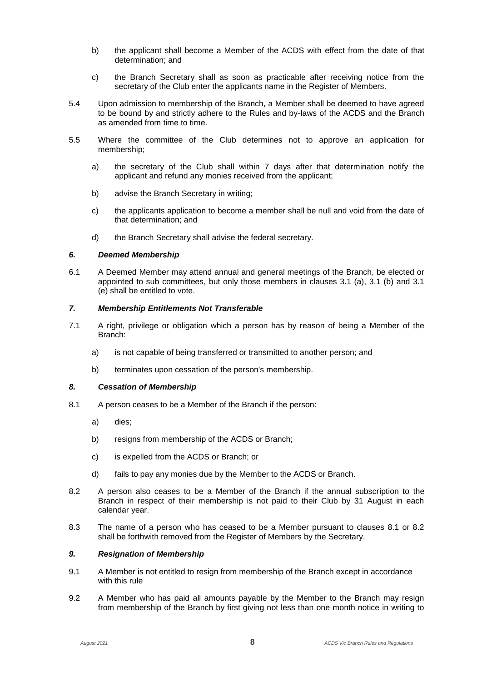- b) the applicant shall become a Member of the ACDS with effect from the date of that determination; and
- c) the Branch Secretary shall as soon as practicable after receiving notice from the secretary of the Club enter the applicants name in the Register of Members.
- 5.4 Upon admission to membership of the Branch, a Member shall be deemed to have agreed to be bound by and strictly adhere to the Rules and by-laws of the ACDS and the Branch as amended from time to time.
- 5.5 Where the committee of the Club determines not to approve an application for membership;
	- a) the secretary of the Club shall within 7 days after that determination notify the applicant and refund any monies received from the applicant;
	- b) advise the Branch Secretary in writing;
	- c) the applicants application to become a member shall be null and void from the date of that determination; and
	- d) the Branch Secretary shall advise the federal secretary.

#### *6. Deemed Membership*

6.1 A Deemed Member may attend annual and general meetings of the Branch, be elected or appointed to sub committees, but only those members in clauses 3.1 (a), 3.1 (b) and 3.1 (e) shall be entitled to vote.

# *7. Membership Entitlements Not Transferable*

- 7.1 A right, privilege or obligation which a person has by reason of being a Member of the Branch:
	- a) is not capable of being transferred or transmitted to another person; and
	- b) terminates upon cessation of the person's membership.

#### *8. Cessation of Membership*

- 8.1 A person ceases to be a Member of the Branch if the person:
	- a) dies;
	- b) resigns from membership of the ACDS or Branch;
	- c) is expelled from the ACDS or Branch; or
	- d) fails to pay any monies due by the Member to the ACDS or Branch.
- 8.2 A person also ceases to be a Member of the Branch if the annual subscription to the Branch in respect of their membership is not paid to their Club by 31 August in each calendar year.
- 8.3 The name of a person who has ceased to be a Member pursuant to clauses 8.1 or 8.2 shall be forthwith removed from the Register of Members by the Secretary.

# *9. Resignation of Membership*

- 9.1 A Member is not entitled to resign from membership of the Branch except in accordance with this rule
- 9.2 A Member who has paid all amounts payable by the Member to the Branch may resign from membership of the Branch by first giving not less than one month notice in writing to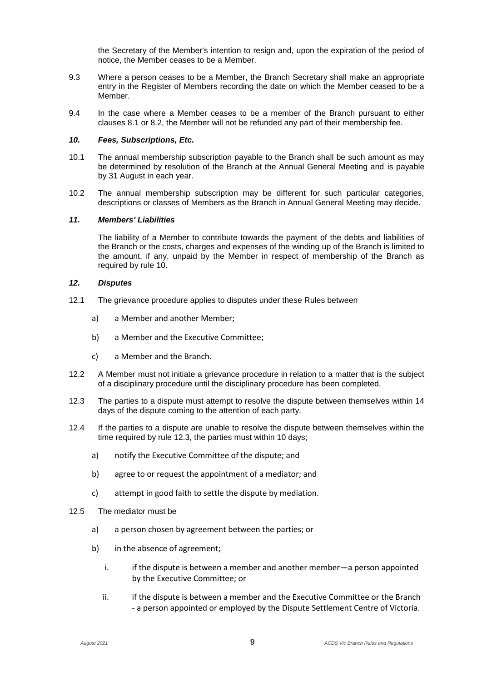the Secretary of the Member's intention to resign and, upon the expiration of the period of notice, the Member ceases to be a Member.

- 9.3 Where a person ceases to be a Member, the Branch Secretary shall make an appropriate entry in the Register of Members recording the date on which the Member ceased to be a Member.
- 9.4 In the case where a Member ceases to be a member of the Branch pursuant to either clauses 8.1 or 8.2, the Member will not be refunded any part of their membership fee.

# *10. Fees, Subscriptions, Etc.*

- 10.1 The annual membership subscription payable to the Branch shall be such amount as may be determined by resolution of the Branch at the Annual General Meeting and is payable by 31 August in each year.
- 10.2 The annual membership subscription may be different for such particular categories, descriptions or classes of Members as the Branch in Annual General Meeting may decide.

#### *11. Members' Liabilities*

The liability of a Member to contribute towards the payment of the debts and liabilities of the Branch or the costs, charges and expenses of the winding up of the Branch is limited to the amount, if any, unpaid by the Member in respect of membership of the Branch as required by rule 10.

#### *12. Disputes*

- 12.1 The grievance procedure applies to disputes under these Rules between
	- a) a Member and another Member;
	- b) a Member and the Executive Committee;
	- c) a Member and the Branch.
- 12.2 A Member must not initiate a grievance procedure in relation to a matter that is the subject of a disciplinary procedure until the disciplinary procedure has been completed.
- 12.3 The parties to a dispute must attempt to resolve the dispute between themselves within 14 days of the dispute coming to the attention of each party.
- 12.4 If the parties to a dispute are unable to resolve the dispute between themselves within the time required by rule 12.3, the parties must within 10 days;
	- a) notify the Executive Committee of the dispute; and
	- b) agree to or request the appointment of a mediator; and
	- c) attempt in good faith to settle the dispute by mediation.
- 12.5 The mediator must be
	- a) a person chosen by agreement between the parties; or
	- b) in the absence of agreement;
		- i. if the dispute is between a member and another member—a person appointed by the Executive Committee; or
		- ii. if the dispute is between a member and the Executive Committee or the Branch - a person appointed or employed by the Dispute Settlement Centre of Victoria.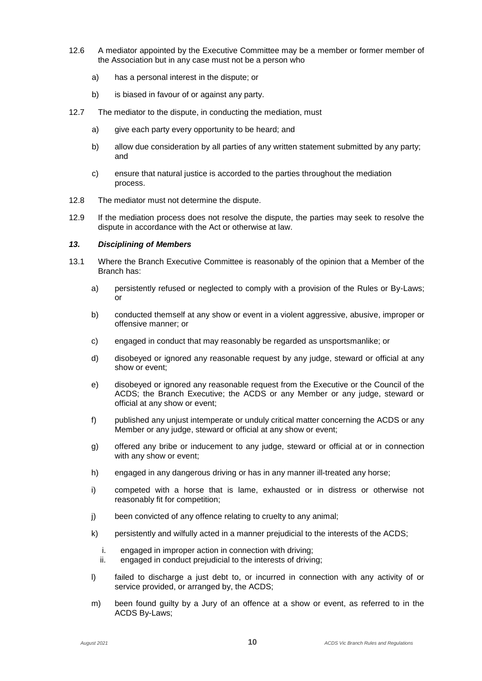- 12.6 A mediator appointed by the Executive Committee may be a member or former member of the Association but in any case must not be a person who
	- a) has a personal interest in the dispute; or
	- b) is biased in favour of or against any party.
- 12.7 The mediator to the dispute, in conducting the mediation, must
	- a) give each party every opportunity to be heard; and
	- b) allow due consideration by all parties of any written statement submitted by any party; and
	- c) ensure that natural justice is accorded to the parties throughout the mediation process.
- 12.8 The mediator must not determine the dispute.
- 12.9 If the mediation process does not resolve the dispute, the parties may seek to resolve the dispute in accordance with the Act or otherwise at law.

# *13. Disciplining of Members*

- 13.1 Where the Branch Executive Committee is reasonably of the opinion that a Member of the Branch has:
	- a) persistently refused or neglected to comply with a provision of the Rules or By-Laws; or
	- b) conducted themself at any show or event in a violent aggressive, abusive, improper or offensive manner; or
	- c) engaged in conduct that may reasonably be regarded as unsportsmanlike; or
	- d) disobeyed or ignored any reasonable request by any judge, steward or official at any show or event;
	- e) disobeyed or ignored any reasonable request from the Executive or the Council of the ACDS; the Branch Executive; the ACDS or any Member or any judge, steward or official at any show or event;
	- f) published any unjust intemperate or unduly critical matter concerning the ACDS or any Member or any judge, steward or official at any show or event;
	- g) offered any bribe or inducement to any judge, steward or official at or in connection with any show or event;
	- h) engaged in any dangerous driving or has in any manner ill-treated any horse;
	- i) competed with a horse that is lame, exhausted or in distress or otherwise not reasonably fit for competition;
	- j) been convicted of any offence relating to cruelty to any animal;
	- k) persistently and wilfully acted in a manner prejudicial to the interests of the ACDS;
		- i. engaged in improper action in connection with driving;
		- ii. engaged in conduct prejudicial to the interests of driving;
	- l) failed to discharge a just debt to, or incurred in connection with any activity of or service provided, or arranged by, the ACDS;
	- m) been found guilty by a Jury of an offence at a show or event, as referred to in the ACDS By-Laws;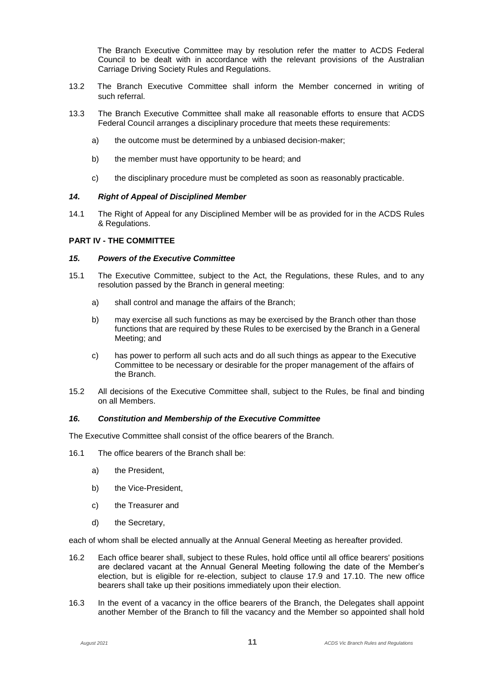The Branch Executive Committee may by resolution refer the matter to ACDS Federal Council to be dealt with in accordance with the relevant provisions of the Australian Carriage Driving Society Rules and Regulations.

- 13.2 The Branch Executive Committee shall inform the Member concerned in writing of such referral.
- 13.3 The Branch Executive Committee shall make all reasonable efforts to ensure that ACDS Federal Council arranges a disciplinary procedure that meets these requirements:
	- a) the outcome must be determined by a unbiased decision-maker;
	- b) the member must have opportunity to be heard; and
	- c) the disciplinary procedure must be completed as soon as reasonably practicable.

#### *14. Right of Appeal of Disciplined Member*

14.1 The Right of Appeal for any Disciplined Member will be as provided for in the ACDS Rules & Regulations.

# **PART IV - THE COMMITTEE**

#### *15. Powers of the Executive Committee*

- 15.1 The Executive Committee, subject to the Act, the Regulations, these Rules, and to any resolution passed by the Branch in general meeting:
	- a) shall control and manage the affairs of the Branch;
	- b) may exercise all such functions as may be exercised by the Branch other than those functions that are required by these Rules to be exercised by the Branch in a General Meeting; and
	- c) has power to perform all such acts and do all such things as appear to the Executive Committee to be necessary or desirable for the proper management of the affairs of the Branch.
- 15.2 All decisions of the Executive Committee shall, subject to the Rules, be final and binding on all Members.

# *16. Constitution and Membership of the Executive Committee*

The Executive Committee shall consist of the office bearers of the Branch.

- 16.1 The office bearers of the Branch shall be:
	- a) the President,
	- b) the Vice-President,
	- c) the Treasurer and
	- d) the Secretary,

each of whom shall be elected annually at the Annual General Meeting as hereafter provided.

- 16.2 Each office bearer shall, subject to these Rules, hold office until all office bearers' positions are declared vacant at the Annual General Meeting following the date of the Member's election, but is eligible for re-election, subject to clause 17.9 and 17.10. The new office bearers shall take up their positions immediately upon their election.
- 16.3 In the event of a vacancy in the office bearers of the Branch, the Delegates shall appoint another Member of the Branch to fill the vacancy and the Member so appointed shall hold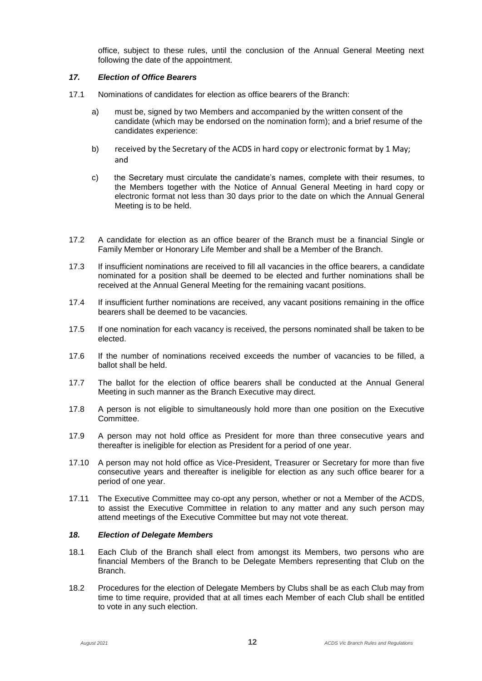office, subject to these rules, until the conclusion of the Annual General Meeting next following the date of the appointment.

# *17. Election of Office Bearers*

- 17.1 Nominations of candidates for election as office bearers of the Branch:
	- a) must be, signed by two Members and accompanied by the written consent of the candidate (which may be endorsed on the nomination form); and a brief resume of the candidates experience:
	- b) received by the Secretary of the ACDS in hard copy or electronic format by 1 May; and
	- c) the Secretary must circulate the candidate's names, complete with their resumes, to the Members together with the Notice of Annual General Meeting in hard copy or electronic format not less than 30 days prior to the date on which the Annual General Meeting is to be held.
- 17.2 A candidate for election as an office bearer of the Branch must be a financial Single or Family Member or Honorary Life Member and shall be a Member of the Branch.
- 17.3 If insufficient nominations are received to fill all vacancies in the office bearers, a candidate nominated for a position shall be deemed to be elected and further nominations shall be received at the Annual General Meeting for the remaining vacant positions.
- 17.4 If insufficient further nominations are received, any vacant positions remaining in the office bearers shall be deemed to be vacancies.
- 17.5 If one nomination for each vacancy is received, the persons nominated shall be taken to be elected.
- 17.6 If the number of nominations received exceeds the number of vacancies to be filled, a ballot shall be held.
- 17.7 The ballot for the election of office bearers shall be conducted at the Annual General Meeting in such manner as the Branch Executive may direct.
- 17.8 A person is not eligible to simultaneously hold more than one position on the Executive **Committee.**
- 17.9 A person may not hold office as President for more than three consecutive years and thereafter is ineligible for election as President for a period of one year.
- 17.10 A person may not hold office as Vice-President, Treasurer or Secretary for more than five consecutive years and thereafter is ineligible for election as any such office bearer for a period of one year.
- 17.11 The Executive Committee may co-opt any person, whether or not a Member of the ACDS, to assist the Executive Committee in relation to any matter and any such person may attend meetings of the Executive Committee but may not vote thereat.

# *18. Election of Delegate Members*

- 18.1 Each Club of the Branch shall elect from amongst its Members, two persons who are financial Members of the Branch to be Delegate Members representing that Club on the Branch.
- 18.2 Procedures for the election of Delegate Members by Clubs shall be as each Club may from time to time require, provided that at all times each Member of each Club shall be entitled to vote in any such election.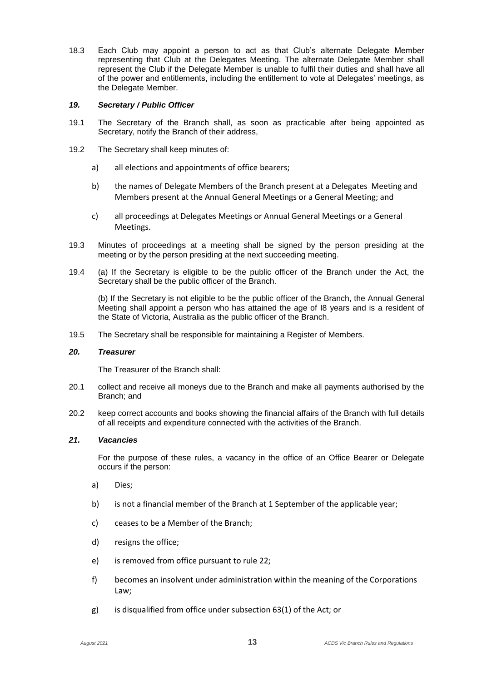18.3 Each Club may appoint a person to act as that Club's alternate Delegate Member representing that Club at the Delegates Meeting. The alternate Delegate Member shall represent the Club if the Delegate Member is unable to fulfil their duties and shall have all of the power and entitlements, including the entitlement to vote at Delegates' meetings, as the Delegate Member.

#### *19. Secretary / Public Officer*

- 19.1 The Secretary of the Branch shall, as soon as practicable after being appointed as Secretary, notify the Branch of their address,
- 19.2 The Secretary shall keep minutes of:
	- a) all elections and appointments of office bearers;
	- b) the names of Delegate Members of the Branch present at a Delegates Meeting and Members present at the Annual General Meetings or a General Meeting; and
	- c) all proceedings at Delegates Meetings or Annual General Meetings or a General Meetings.
- 19.3 Minutes of proceedings at a meeting shall be signed by the person presiding at the meeting or by the person presiding at the next succeeding meeting.
- 19.4 (a) If the Secretary is eligible to be the public officer of the Branch under the Act, the Secretary shall be the public officer of the Branch.

(b) If the Secretary is not eligible to be the public officer of the Branch, the Annual General Meeting shall appoint a person who has attained the age of I8 years and is a resident of the State of Victoria, Australia as the public officer of the Branch.

19.5 The Secretary shall be responsible for maintaining a Register of Members.

#### *20. Treasurer*

The Treasurer of the Branch shall:

- 20.1 collect and receive all moneys due to the Branch and make all payments authorised by the Branch; and
- 20.2 keep correct accounts and books showing the financial affairs of the Branch with full details of all receipts and expenditure connected with the activities of the Branch.

# *21. Vacancies*

For the purpose of these rules, a vacancy in the office of an Office Bearer or Delegate occurs if the person:

- a) Dies;
- b) is not a financial member of the Branch at 1 September of the applicable year;
- c) ceases to be a Member of the Branch;
- d) resigns the office;
- e) is removed from office pursuant to rule 22;
- f) becomes an insolvent under administration within the meaning of the Corporations Law;
- g) is disqualified from office under subsection 63(1) of the Act; or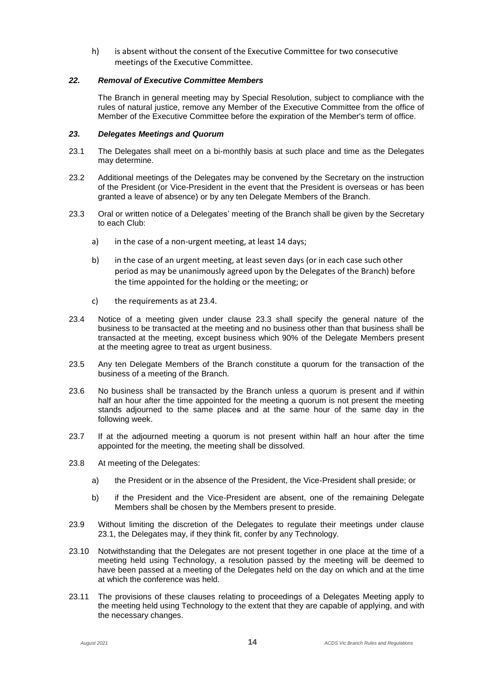h) is absent without the consent of the Executive Committee for two consecutive meetings of the Executive Committee.

#### *22. Removal of Executive Committee Members*

The Branch in general meeting may by Special Resolution, subject to compliance with the rules of natural justice, remove any Member of the Executive Committee from the office of Member of the Executive Committee before the expiration of the Member's term of office.

#### *23. Delegates Meetings and Quorum*

- 23.1 The Delegates shall meet on a bi-monthly basis at such place and time as the Delegates may determine.
- 23.2 Additional meetings of the Delegates may be convened by the Secretary on the instruction of the President (or Vice-President in the event that the President is overseas or has been granted a leave of absence) or by any ten Delegate Members of the Branch.
- 23.3 Oral or written notice of a Delegates' meeting of the Branch shall be given by the Secretary to each Club:
	- a) in the case of a non-urgent meeting, at least 14 days;
	- b) in the case of an urgent meeting, at least seven days (or in each case such other period as may be unanimously agreed upon by the Delegates of the Branch) before the time appointed for the holding or the meeting; or
	- c) the requirements as at 23.4.
- 23.4 Notice of a meeting given under clause 23.3 shall specify the general nature of the business to be transacted at the meeting and no business other than that business shall be transacted at the meeting, except business which 90% of the Delegate Members present at the meeting agree to treat as urgent business.
- 23.5 Any ten Delegate Members of the Branch constitute a quorum for the transaction of the business of a meeting of the Branch.
- 23.6 No business shall be transacted by the Branch unless a quorum is present and if within half an hour after the time appointed for the meeting a quorum is not present the meeting stands adjourned to the same places and at the same hour of the same day in the following week.
- 23.7 If at the adjourned meeting a quorum is not present within half an hour after the time appointed for the meeting, the meeting shall be dissolved.
- 23.8 At meeting of the Delegates:
	- a) the President or in the absence of the President, the Vice-President shall preside; or
	- b) if the President and the Vice-President are absent, one of the remaining Delegate Members shall be chosen by the Members present to preside.
- 23.9 Without limiting the discretion of the Delegates to regulate their meetings under clause 23.1, the Delegates may, if they think fit, confer by any Technology.
- 23.10 Notwithstanding that the Delegates are not present together in one place at the time of a meeting held using Technology, a resolution passed by the meeting will be deemed to have been passed at a meeting of the Delegates held on the day on which and at the time at which the conference was held.
- 23.11 The provisions of these clauses relating to proceedings of a Delegates Meeting apply to the meeting held using Technology to the extent that they are capable of applying, and with the necessary changes.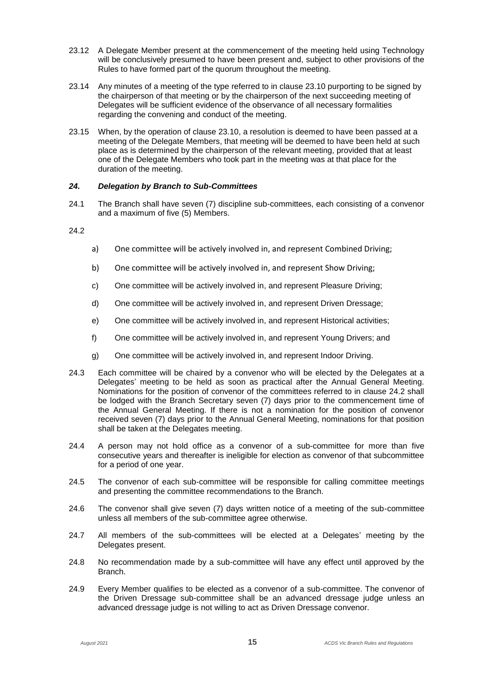- 23.12 A Delegate Member present at the commencement of the meeting held using Technology will be conclusively presumed to have been present and, subject to other provisions of the Rules to have formed part of the quorum throughout the meeting.
- 23.14 Any minutes of a meeting of the type referred to in clause 23.10 purporting to be signed by the chairperson of that meeting or by the chairperson of the next succeeding meeting of Delegates will be sufficient evidence of the observance of all necessary formalities regarding the convening and conduct of the meeting.
- 23.15 When, by the operation of clause 23.10, a resolution is deemed to have been passed at a meeting of the Delegate Members, that meeting will be deemed to have been held at such place as is determined by the chairperson of the relevant meeting, provided that at least one of the Delegate Members who took part in the meeting was at that place for the duration of the meeting.

# *24. Delegation by Branch to Sub-Committees*

24.1 The Branch shall have seven (7) discipline sub-committees, each consisting of a convenor and a maximum of five (5) Members.

#### 24.2

- a) One committee will be actively involved in, and represent Combined Driving;
- b) One committee will be actively involved in, and represent Show Driving;
- c) One committee will be actively involved in, and represent Pleasure Driving;
- d) One committee will be actively involved in, and represent Driven Dressage;
- e) One committee will be actively involved in, and represent Historical activities;
- f) One committee will be actively involved in, and represent Young Drivers; and
- g) One committee will be actively involved in, and represent Indoor Driving.
- 24.3 Each committee will be chaired by a convenor who will be elected by the Delegates at a Delegates' meeting to be held as soon as practical after the Annual General Meeting. Nominations for the position of convenor of the committees referred to in clause 24.2 shall be lodged with the Branch Secretary seven (7) days prior to the commencement time of the Annual General Meeting. If there is not a nomination for the position of convenor received seven (7) days prior to the Annual General Meeting, nominations for that position shall be taken at the Delegates meeting.
- 24.4 A person may not hold office as a convenor of a sub-committee for more than five consecutive years and thereafter is ineligible for election as convenor of that subcommittee for a period of one year.
- 24.5 The convenor of each sub-committee will be responsible for calling committee meetings and presenting the committee recommendations to the Branch.
- 24.6 The convenor shall give seven (7) days written notice of a meeting of the sub-committee unless all members of the sub-committee agree otherwise.
- 24.7 All members of the sub-committees will be elected at a Delegates' meeting by the Delegates present.
- 24.8 No recommendation made by a sub-committee will have any effect until approved by the Branch.
- 24.9 Every Member qualifies to be elected as a convenor of a sub-committee. The convenor of the Driven Dressage sub-committee shall be an advanced dressage judge unless an advanced dressage judge is not willing to act as Driven Dressage convenor.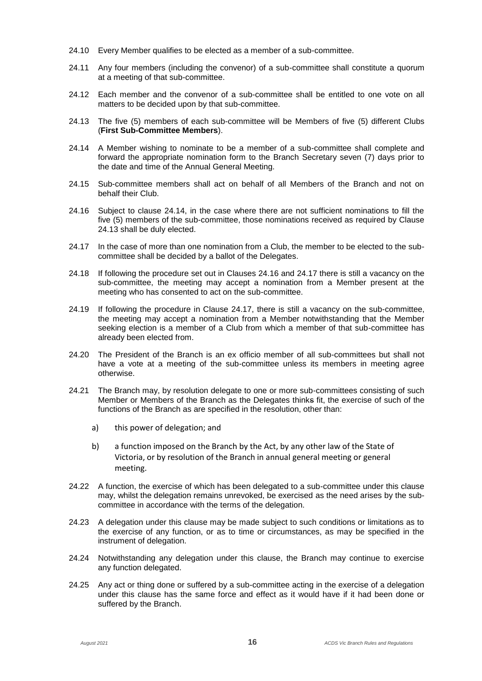- 24.10 Every Member qualifies to be elected as a member of a sub-committee.
- 24.11 Any four members (including the convenor) of a sub-committee shall constitute a quorum at a meeting of that sub-committee.
- 24.12 Each member and the convenor of a sub-committee shall be entitled to one vote on all matters to be decided upon by that sub-committee.
- 24.13 The five (5) members of each sub-committee will be Members of five (5) different Clubs (**First Sub-Committee Members**).
- 24.14 A Member wishing to nominate to be a member of a sub-committee shall complete and forward the appropriate nomination form to the Branch Secretary seven (7) days prior to the date and time of the Annual General Meeting.
- 24.15 Sub-committee members shall act on behalf of all Members of the Branch and not on behalf their Club.
- 24.16 Subject to clause 24.14, in the case where there are not sufficient nominations to fill the five (5) members of the sub-committee, those nominations received as required by Clause 24.13 shall be duly elected.
- 24.17 In the case of more than one nomination from a Club, the member to be elected to the subcommittee shall be decided by a ballot of the Delegates.
- 24.18 If following the procedure set out in Clauses 24.16 and 24.17 there is still a vacancy on the sub-committee, the meeting may accept a nomination from a Member present at the meeting who has consented to act on the sub-committee.
- 24.19 If following the procedure in Clause 24.17, there is still a vacancy on the sub-committee, the meeting may accept a nomination from a Member notwithstanding that the Member seeking election is a member of a Club from which a member of that sub-committee has already been elected from.
- 24.20 The President of the Branch is an ex officio member of all sub-committees but shall not have a vote at a meeting of the sub-committee unless its members in meeting agree otherwise.
- 24.21 The Branch may, by resolution delegate to one or more sub-committees consisting of such Member or Members of the Branch as the Delegates thinks fit, the exercise of such of the functions of the Branch as are specified in the resolution, other than:
	- a) this power of delegation; and
	- b) a function imposed on the Branch by the Act, by any other law of the State of Victoria, or by resolution of the Branch in annual general meeting or general meeting.
- 24.22 A function, the exercise of which has been delegated to a sub-committee under this clause may, whilst the delegation remains unrevoked, be exercised as the need arises by the subcommittee in accordance with the terms of the delegation.
- 24.23 A delegation under this clause may be made subject to such conditions or limitations as to the exercise of any function, or as to time or circumstances, as may be specified in the instrument of delegation.
- 24.24 Notwithstanding any delegation under this clause, the Branch may continue to exercise any function delegated.
- 24.25 Any act or thing done or suffered by a sub-committee acting in the exercise of a delegation under this clause has the same force and effect as it would have if it had been done or suffered by the Branch.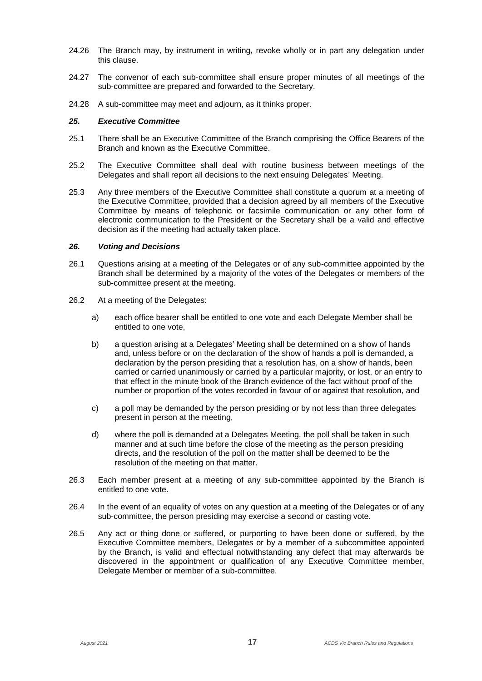- 24.26 The Branch may, by instrument in writing, revoke wholly or in part any delegation under this clause.
- 24.27 The convenor of each sub-committee shall ensure proper minutes of all meetings of the sub-committee are prepared and forwarded to the Secretary.
- 24.28 A sub-committee may meet and adjourn, as it thinks proper.

#### *25. Executive Committee*

- 25.1 There shall be an Executive Committee of the Branch comprising the Office Bearers of the Branch and known as the Executive Committee.
- 25.2 The Executive Committee shall deal with routine business between meetings of the Delegates and shall report all decisions to the next ensuing Delegates' Meeting.
- 25.3 Any three members of the Executive Committee shall constitute a quorum at a meeting of the Executive Committee, provided that a decision agreed by all members of the Executive Committee by means of telephonic or facsimile communication or any other form of electronic communication to the President or the Secretary shall be a valid and effective decision as if the meeting had actually taken place.

#### *26. Voting and Decisions*

- 26.1 Questions arising at a meeting of the Delegates or of any sub-committee appointed by the Branch shall be determined by a majority of the votes of the Delegates or members of the sub-committee present at the meeting.
- 26.2 At a meeting of the Delegates:
	- a) each office bearer shall be entitled to one vote and each Delegate Member shall be entitled to one vote,
	- b) a question arising at a Delegates' Meeting shall be determined on a show of hands and, unless before or on the declaration of the show of hands a poll is demanded, a declaration by the person presiding that a resolution has, on a show of hands, been carried or carried unanimously or carried by a particular majority, or lost, or an entry to that effect in the minute book of the Branch evidence of the fact without proof of the number or proportion of the votes recorded in favour of or against that resolution, and
	- c) a poll may be demanded by the person presiding or by not less than three delegates present in person at the meeting,
	- d) where the poll is demanded at a Delegates Meeting, the poll shall be taken in such manner and at such time before the close of the meeting as the person presiding directs, and the resolution of the poll on the matter shall be deemed to be the resolution of the meeting on that matter.
- 26.3 Each member present at a meeting of any sub-committee appointed by the Branch is entitled to one vote.
- 26.4 In the event of an equality of votes on any question at a meeting of the Delegates or of any sub-committee, the person presiding may exercise a second or casting vote.
- 26.5 Any act or thing done or suffered, or purporting to have been done or suffered, by the Executive Committee members, Delegates or by a member of a subcommittee appointed by the Branch, is valid and effectual notwithstanding any defect that may afterwards be discovered in the appointment or qualification of any Executive Committee member, Delegate Member or member of a sub-committee.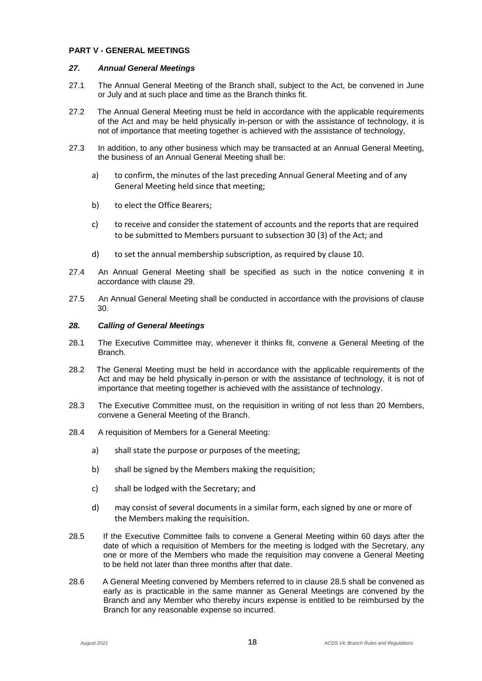#### **PART V - GENERAL MEETINGS**

#### *27. Annual General Meetings*

- 27.1 The Annual General Meeting of the Branch shall, subject to the Act, be convened in June or July and at such place and time as the Branch thinks fit.
- 27.2 The Annual General Meeting must be held in accordance with the applicable requirements of the Act and may be held physically in-person or with the assistance of technology, it is not of importance that meeting together is achieved with the assistance of technology,
- 27.3 In addition, to any other business which may be transacted at an Annual General Meeting, the business of an Annual General Meeting shall be:
	- a) to confirm, the minutes of the last preceding Annual General Meeting and of any General Meeting held since that meeting;
	- b) to elect the Office Bearers;
	- c) to receive and consider the statement of accounts and the reports that are required to be submitted to Members pursuant to subsection 30 (3) of the Act; and
	- d) to set the annual membership subscription, as required by clause 10.
- 27.4 An Annual General Meeting shall be specified as such in the notice convening it in accordance with clause 29.
- 27.5 An Annual General Meeting shall be conducted in accordance with the provisions of clause 30.

# *28. Calling of General Meetings*

- 28.1 The Executive Committee may, whenever it thinks fit, convene a General Meeting of the Branch.
- 28.2 The General Meeting must be held in accordance with the applicable requirements of the Act and may be held physically in-person or with the assistance of technology, it is not of importance that meeting together is achieved with the assistance of technology.
- 28.3 The Executive Committee must, on the requisition in writing of not less than 20 Members, convene a General Meeting of the Branch.
- 28.4 A requisition of Members for a General Meeting:
	- a) shall state the purpose or purposes of the meeting;
	- b) shall be signed by the Members making the requisition;
	- c) shall be lodged with the Secretary; and
	- d) may consist of several documents in a similar form, each signed by one or more of the Members making the requisition.
- 28.5 If the Executive Committee fails to convene a General Meeting within 60 days after the date of which a requisition of Members for the meeting is lodged with the Secretary, any one or more of the Members who made the requisition may convene a General Meeting to be held not later than three months after that date.
- 28.6 A General Meeting convened by Members referred to in clause 28.5 shall be convened as early as is practicable in the same manner as General Meetings are convened by the Branch and any Member who thereby incurs expense is entitled to be reimbursed by the Branch for any reasonable expense so incurred.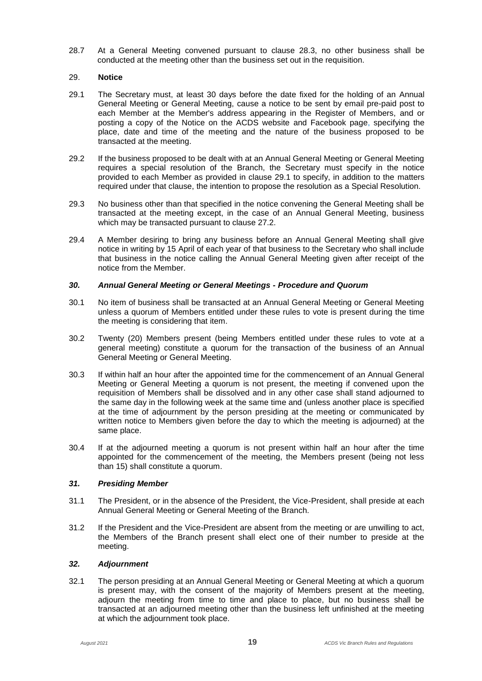28.7 At a General Meeting convened pursuant to clause 28.3, no other business shall be conducted at the meeting other than the business set out in the requisition.

# 29. **Notice**

- 29.1 The Secretary must, at least 30 days before the date fixed for the holding of an Annual General Meeting or General Meeting, cause a notice to be sent by email pre-paid post to each Member at the Member's address appearing in the Register of Members, and or posting a copy of the Notice on the ACDS website and Facebook page, specifying the place, date and time of the meeting and the nature of the business proposed to be transacted at the meeting.
- 29.2 If the business proposed to be dealt with at an Annual General Meeting or General Meeting requires a special resolution of the Branch, the Secretary must specify in the notice provided to each Member as provided in clause 29.1 to specify, in addition to the matters required under that clause, the intention to propose the resolution as a Special Resolution.
- 29.3 No business other than that specified in the notice convening the General Meeting shall be transacted at the meeting except, in the case of an Annual General Meeting, business which may be transacted pursuant to clause 27.2.
- 29.4 A Member desiring to bring any business before an Annual General Meeting shall give notice in writing by 15 April of each year of that business to the Secretary who shall include that business in the notice calling the Annual General Meeting given after receipt of the notice from the Member.

# *30. Annual General Meeting or General Meetings - Procedure and Quorum*

- 30.1 No item of business shall be transacted at an Annual General Meeting or General Meeting unless a quorum of Members entitled under these rules to vote is present during the time the meeting is considering that item.
- 30.2 Twenty (20) Members present (being Members entitled under these rules to vote at a general meeting) constitute a quorum for the transaction of the business of an Annual General Meeting or General Meeting.
- 30.3 If within half an hour after the appointed time for the commencement of an Annual General Meeting or General Meeting a quorum is not present, the meeting if convened upon the requisition of Members shall be dissolved and in any other case shall stand adjourned to the same day in the following week at the same time and (unless another place is specified at the time of adjournment by the person presiding at the meeting or communicated by written notice to Members given before the day to which the meeting is adjourned) at the same place.
- 30.4 If at the adjourned meeting a quorum is not present within half an hour after the time appointed for the commencement of the meeting, the Members present (being not less than 15) shall constitute a quorum.

# *31. Presiding Member*

- 31.1 The President, or in the absence of the President, the Vice-President, shall preside at each Annual General Meeting or General Meeting of the Branch.
- 31.2 If the President and the Vice-President are absent from the meeting or are unwilling to act, the Members of the Branch present shall elect one of their number to preside at the meeting.

# *32. Adjournment*

32.1 The person presiding at an Annual General Meeting or General Meeting at which a quorum is present may, with the consent of the majority of Members present at the meeting, adjourn the meeting from time to time and place to place, but no business shall be transacted at an adjourned meeting other than the business left unfinished at the meeting at which the adjournment took place.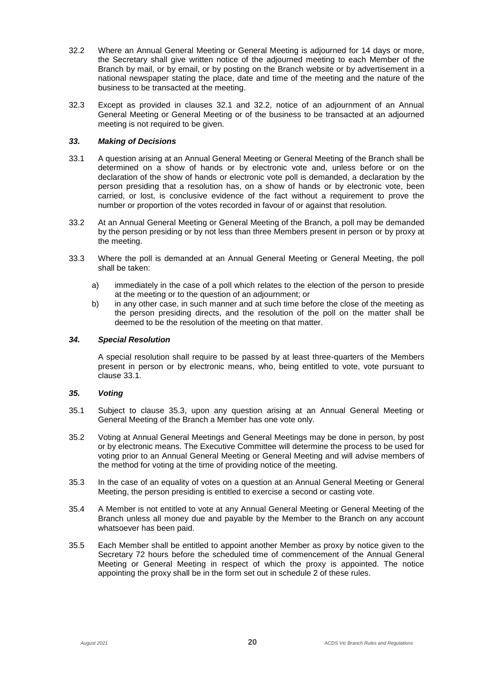- 32.2 Where an Annual General Meeting or General Meeting is adjourned for 14 days or more, the Secretary shall give written notice of the adjourned meeting to each Member of the Branch by mail, or by email, or by posting on the Branch website or by advertisement in a national newspaper stating the place, date and time of the meeting and the nature of the business to be transacted at the meeting.
- 32.3 Except as provided in clauses 32.1 and 32.2, notice of an adjournment of an Annual General Meeting or General Meeting or of the business to be transacted at an adjourned meeting is not required to be given.

# *33. Making of Decisions*

- 33.1 A question arising at an Annual General Meeting or General Meeting of the Branch shall be determined on a show of hands or by electronic vote and, unless before or on the declaration of the show of hands or electronic vote poll is demanded, a declaration by the person presiding that a resolution has, on a show of hands or by electronic vote, been carried, or lost, is conclusive evidence of the fact without a requirement to prove the number or proportion of the votes recorded in favour of or against that resolution.
- 33.2 At an Annual General Meeting or General Meeting of the Branch, a poll may be demanded by the person presiding or by not less than three Members present in person or by proxy at the meeting.
- 33.3 Where the poll is demanded at an Annual General Meeting or General Meeting, the poll shall be taken:
	- a) immediately in the case of a poll which relates to the election of the person to preside at the meeting or to the question of an adjournment; or
	- b) in any other case, in such manner and at such time before the close of the meeting as the person presiding directs, and the resolution of the poll on the matter shall be deemed to be the resolution of the meeting on that matter.

#### *34. Special Resolution*

A special resolution shall require to be passed by at least three-quarters of the Members present in person or by electronic means, who, being entitled to vote, vote pursuant to  $\overline{\phantom{a}}$ clause 33.1.

# *35. Voting*

- 35.1 Subject to clause 35.3, upon any question arising at an Annual General Meeting or General Meeting of the Branch a Member has one vote only.
- 35.2 Voting at Annual General Meetings and General Meetings may be done in person, by post or by electronic means. The Executive Committee will determine the process to be used for voting prior to an Annual General Meeting or General Meeting and will advise members of the method for voting at the time of providing notice of the meeting.
- 35.3 In the case of an equality of votes on a question at an Annual General Meeting or General Meeting, the person presiding is entitled to exercise a second or casting vote.
- 35.4 A Member is not entitled to vote at any Annual General Meeting or General Meeting of the Branch unless all money due and payable by the Member to the Branch on any account whatsoever has been paid.
- 35.5 Each Member shall be entitled to appoint another Member as proxy by notice given to the Secretary 72 hours before the scheduled time of commencement of the Annual General Meeting or General Meeting in respect of which the proxy is appointed. The notice appointing the proxy shall be in the form set out in schedule 2 of these rules.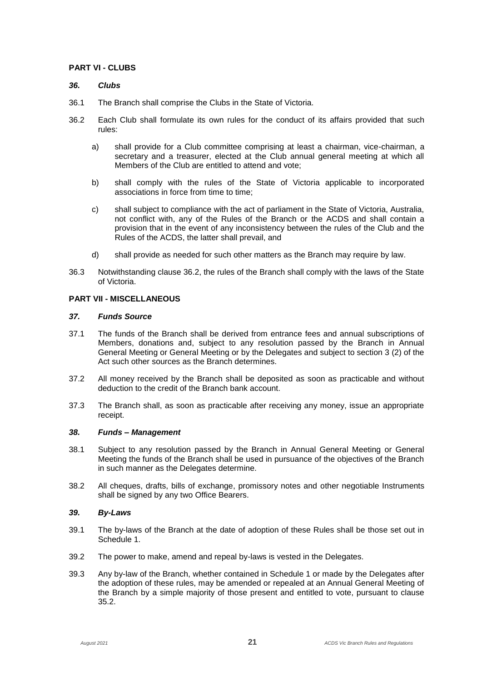# **PART VI - CLUBS**

#### *36. Clubs*

- 36.1 The Branch shall comprise the Clubs in the State of Victoria.
- 36.2 Each Club shall formulate its own rules for the conduct of its affairs provided that such rules:
	- a) shall provide for a Club committee comprising at least a chairman, vice-chairman, a secretary and a treasurer, elected at the Club annual general meeting at which all Members of the Club are entitled to attend and vote;
	- b) shall comply with the rules of the State of Victoria applicable to incorporated associations in force from time to time;
	- c) shall subject to compliance with the act of parliament in the State of Victoria, Australia, not conflict with, any of the Rules of the Branch or the ACDS and shall contain a provision that in the event of any inconsistency between the rules of the Club and the Rules of the ACDS, the latter shall prevail, and
	- d) shall provide as needed for such other matters as the Branch may require by law.
- 36.3 Notwithstanding clause 36.2, the rules of the Branch shall comply with the laws of the State of Victoria.

# **PART VII - MISCELLANEOUS**

# *37. Funds Source*

- 37.1 The funds of the Branch shall be derived from entrance fees and annual subscriptions of Members, donations and, subject to any resolution passed by the Branch in Annual General Meeting or General Meeting or by the Delegates and subject to section 3 (2) of the Act such other sources as the Branch determines.
- 37.2 All money received by the Branch shall be deposited as soon as practicable and without deduction to the credit of the Branch bank account.
- 37.3 The Branch shall, as soon as practicable after receiving any money, issue an appropriate receipt.

#### *38. Funds – Management*

- 38.1 Subject to any resolution passed by the Branch in Annual General Meeting or General Meeting the funds of the Branch shall be used in pursuance of the objectives of the Branch in such manner as the Delegates determine.
- 38.2 All cheques, drafts, bills of exchange, promissory notes and other negotiable Instruments shall be signed by any two Office Bearers.

#### *39. By-Laws*

- 39.1 The by-laws of the Branch at the date of adoption of these Rules shall be those set out in Schedule 1.
- 39.2 The power to make, amend and repeal by-laws is vested in the Delegates.
- 39.3 Any by-law of the Branch, whether contained in Schedule 1 or made by the Delegates after the adoption of these rules, may be amended or repealed at an Annual General Meeting of the Branch by a simple majority of those present and entitled to vote, pursuant to clause 35.2.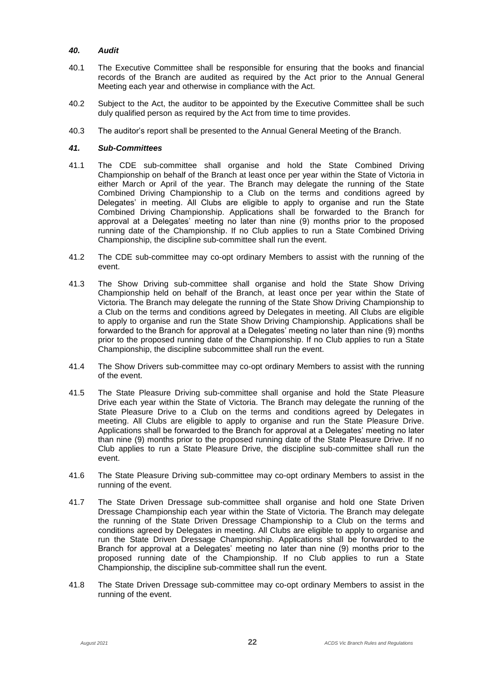# *40. Audit*

- 40.1 The Executive Committee shall be responsible for ensuring that the books and financial records of the Branch are audited as required by the Act prior to the Annual General Meeting each year and otherwise in compliance with the Act.
- 40.2 Subject to the Act, the auditor to be appointed by the Executive Committee shall be such duly qualified person as required by the Act from time to time provides.
- 40.3 The auditor's report shall be presented to the Annual General Meeting of the Branch.

# *41. Sub-Committees*

- 41.1 The CDE sub-committee shall organise and hold the State Combined Driving Championship on behalf of the Branch at least once per year within the State of Victoria in either March or April of the year. The Branch may delegate the running of the State Combined Driving Championship to a Club on the terms and conditions agreed by Delegates' in meeting. All Clubs are eligible to apply to organise and run the State Combined Driving Championship. Applications shall be forwarded to the Branch for approval at a Delegates' meeting no later than nine (9) months prior to the proposed running date of the Championship. If no Club applies to run a State Combined Driving Championship, the discipline sub-committee shall run the event.
- 41.2 The CDE sub-committee may co-opt ordinary Members to assist with the running of the event.
- 41.3 The Show Driving sub-committee shall organise and hold the State Show Driving Championship held on behalf of the Branch, at least once per year within the State of Victoria. The Branch may delegate the running of the State Show Driving Championship to a Club on the terms and conditions agreed by Delegates in meeting. All Clubs are eligible to apply to organise and run the State Show Driving Championship. Applications shall be forwarded to the Branch for approval at a Delegates' meeting no later than nine (9) months prior to the proposed running date of the Championship. If no Club applies to run a State Championship, the discipline subcommittee shall run the event.
- 41.4 The Show Drivers sub-committee may co-opt ordinary Members to assist with the running of the event.
- 41.5 The State Pleasure Driving sub-committee shall organise and hold the State Pleasure Drive each year within the State of Victoria. The Branch may delegate the running of the State Pleasure Drive to a Club on the terms and conditions agreed by Delegates in meeting. All Clubs are eligible to apply to organise and run the State Pleasure Drive. Applications shall be forwarded to the Branch for approval at a Delegates' meeting no later than nine (9) months prior to the proposed running date of the State Pleasure Drive. If no Club applies to run a State Pleasure Drive, the discipline sub-committee shall run the event.
- 41.6 The State Pleasure Driving sub-committee may co-opt ordinary Members to assist in the running of the event.
- 41.7 The State Driven Dressage sub-committee shall organise and hold one State Driven Dressage Championship each year within the State of Victoria. The Branch may delegate the running of the State Driven Dressage Championship to a Club on the terms and conditions agreed by Delegates in meeting. All Clubs are eligible to apply to organise and run the State Driven Dressage Championship. Applications shall be forwarded to the Branch for approval at a Delegates' meeting no later than nine (9) months prior to the proposed running date of the Championship. If no Club applies to run a State Championship, the discipline sub-committee shall run the event.
- 41.8 The State Driven Dressage sub-committee may co-opt ordinary Members to assist in the running of the event.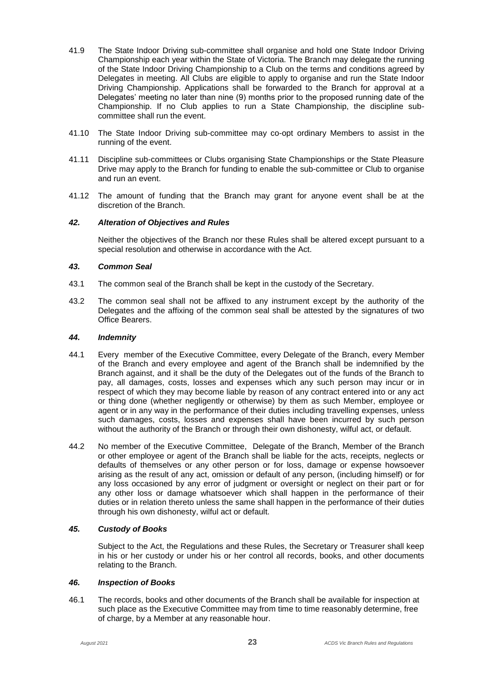- 41.9 The State Indoor Driving sub-committee shall organise and hold one State Indoor Driving Championship each year within the State of Victoria. The Branch may delegate the running of the State Indoor Driving Championship to a Club on the terms and conditions agreed by Delegates in meeting. All Clubs are eligible to apply to organise and run the State Indoor Driving Championship. Applications shall be forwarded to the Branch for approval at a Delegates' meeting no later than nine (9) months prior to the proposed running date of the Championship. If no Club applies to run a State Championship, the discipline subcommittee shall run the event.
- 41.10 The State Indoor Driving sub-committee may co-opt ordinary Members to assist in the running of the event.
- 41.11 Discipline sub-committees or Clubs organising State Championships or the State Pleasure Drive may apply to the Branch for funding to enable the sub-committee or Club to organise and run an event.
- 41.12 The amount of funding that the Branch may grant for anyone event shall be at the discretion of the Branch.

# *42. Alteration of Objectives and Rules*

Neither the objectives of the Branch nor these Rules shall be altered except pursuant to a special resolution and otherwise in accordance with the Act.

# *43. Common Seal*

- 43.1 The common seal of the Branch shall be kept in the custody of the Secretary.
- 43.2 The common seal shall not be affixed to any instrument except by the authority of the Delegates and the affixing of the common seal shall be attested by the signatures of two Office Bearers.

#### *44. Indemnity*

- 44.1 Every member of the Executive Committee, every Delegate of the Branch, every Member of the Branch and every employee and agent of the Branch shall be indemnified by the Branch against, and it shall be the duty of the Delegates out of the funds of the Branch to pay, all damages, costs, losses and expenses which any such person may incur or in respect of which they may become liable by reason of any contract entered into or any act or thing done (whether negligently or otherwise) by them as such Member, employee or agent or in any way in the performance of their duties including travelling expenses, unless such damages, costs, losses and expenses shall have been incurred by such person without the authority of the Branch or through their own dishonesty, wilful act, or default.
- 44.2 No member of the Executive Committee, Delegate of the Branch, Member of the Branch or other employee or agent of the Branch shall be liable for the acts, receipts, neglects or defaults of themselves or any other person or for loss, damage or expense howsoever arising as the result of any act, omission or default of any person, (including himself) or for any loss occasioned by any error of judgment or oversight or neglect on their part or for any other loss or damage whatsoever which shall happen in the performance of their duties or in relation thereto unless the same shall happen in the performance of their duties through his own dishonesty, wilful act or default.

#### *45. Custody of Books*

Subject to the Act, the Regulations and these Rules, the Secretary or Treasurer shall keep in his or her custody or under his or her control all records, books, and other documents relating to the Branch.

#### *46. Inspection of Books*

46.1 The records, books and other documents of the Branch shall be available for inspection at such place as the Executive Committee may from time to time reasonably determine, free of charge, by a Member at any reasonable hour.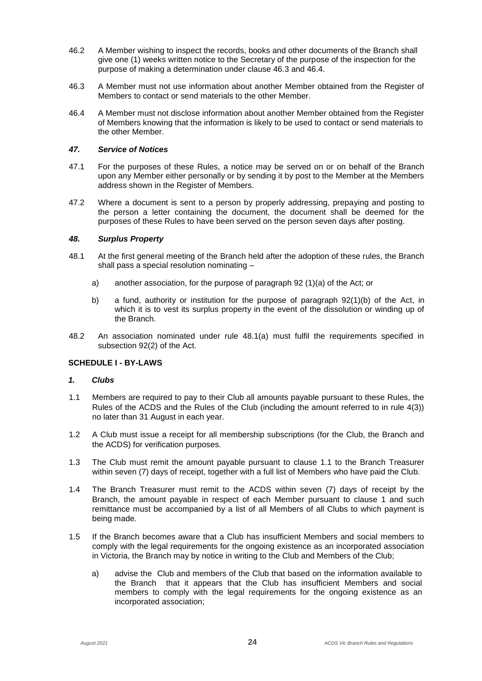- 46.2 A Member wishing to inspect the records, books and other documents of the Branch shall give one (1) weeks written notice to the Secretary of the purpose of the inspection for the purpose of making a determination under clause 46.3 and 46.4.
- 46.3 A Member must not use information about another Member obtained from the Register of Members to contact or send materials to the other Member.
- 46.4 A Member must not disclose information about another Member obtained from the Register of Members knowing that the information is likely to be used to contact or send materials to the other Member.

# *47. Service of Notices*

- 47.1 For the purposes of these Rules, a notice may be served on or on behalf of the Branch upon any Member either personally or by sending it by post to the Member at the Members address shown in the Register of Members.
- 47.2 Where a document is sent to a person by properly addressing, prepaying and posting to the person a letter containing the document, the document shall be deemed for the purposes of these Rules to have been served on the person seven days after posting.

# *48. Surplus Property*

- 48.1 At the first general meeting of the Branch held after the adoption of these rules, the Branch shall pass a special resolution nominating –
	- a) another association, for the purpose of paragraph 92 (1)(a) of the Act; or
	- b) a fund, authority or institution for the purpose of paragraph 92(1)(b) of the Act, in which it is to vest its surplus property in the event of the dissolution or winding up of the Branch.
- 48.2 An association nominated under rule 48.1(a) must fulfil the requirements specified in subsection 92(2) of the Act.

# **SCHEDULE I - BY-LAWS**

#### *1. Clubs*

- 1.1 Members are required to pay to their Club all amounts payable pursuant to these Rules, the Rules of the ACDS and the Rules of the Club (including the amount referred to in rule 4(3)) no later than 31 August in each year.
- 1.2 A Club must issue a receipt for all membership subscriptions (for the Club, the Branch and the ACDS) for verification purposes.
- 1.3 The Club must remit the amount payable pursuant to clause 1.1 to the Branch Treasurer within seven (7) days of receipt, together with a full list of Members who have paid the Club.
- 1.4 The Branch Treasurer must remit to the ACDS within seven (7) days of receipt by the Branch, the amount payable in respect of each Member pursuant to clause 1 and such remittance must be accompanied by a list of all Members of all Clubs to which payment is being made.
- 1.5 If the Branch becomes aware that a Club has insufficient Members and social members to comply with the legal requirements for the ongoing existence as an incorporated association in Victoria, the Branch may by notice in writing to the Club and Members of the Club;
	- a) advise the Club and members of the Club that based on the information available to the Branch that it appears that the Club has insufficient Members and social members to comply with the legal requirements for the ongoing existence as an incorporated association;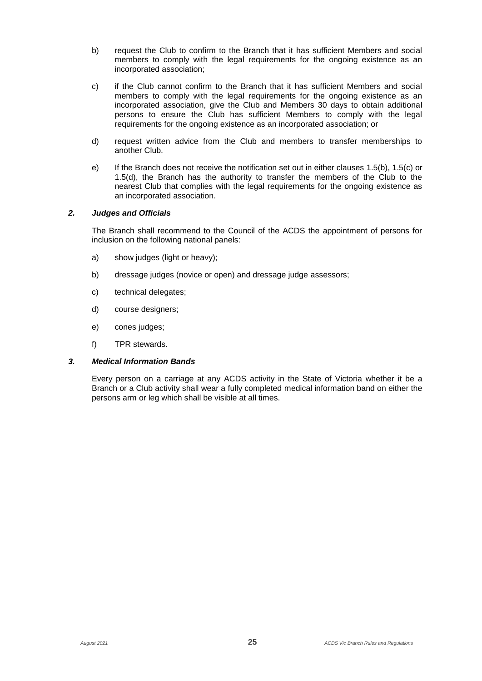- b) request the Club to confirm to the Branch that it has sufficient Members and social members to comply with the legal requirements for the ongoing existence as an incorporated association;
- c) if the Club cannot confirm to the Branch that it has sufficient Members and social members to comply with the legal requirements for the ongoing existence as an incorporated association, give the Club and Members 30 days to obtain additional persons to ensure the Club has sufficient Members to comply with the legal requirements for the ongoing existence as an incorporated association; or
- d) request written advice from the Club and members to transfer memberships to another Club.
- e) If the Branch does not receive the notification set out in either clauses 1.5(b), 1.5(c) or 1.5(d), the Branch has the authority to transfer the members of the Club to the nearest Club that complies with the legal requirements for the ongoing existence as an incorporated association.

# *2. Judges and Officials*

The Branch shall recommend to the Council of the ACDS the appointment of persons for inclusion on the following national panels:

- a) show judges (light or heavy);
- b) dressage judges (novice or open) and dressage judge assessors;
- c) technical delegates;
- d) course designers;
- e) cones judges;
- f) TPR stewards.

### *3. Medical Information Bands*

Every person on a carriage at any ACDS activity in the State of Victoria whether it be a Branch or a Club activity shall wear a fully completed medical information band on either the persons arm or leg which shall be visible at all times.